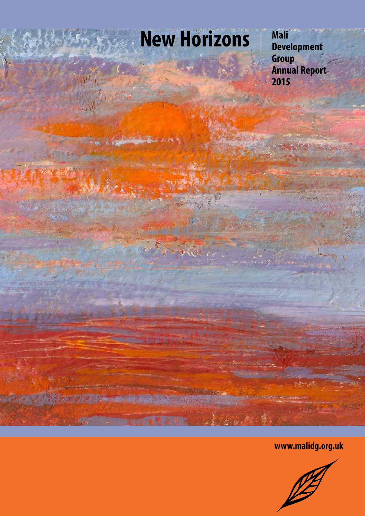# **New Horizons**

**Mali Development Group Annual Report 2015**

**www.malidg.org.uk**

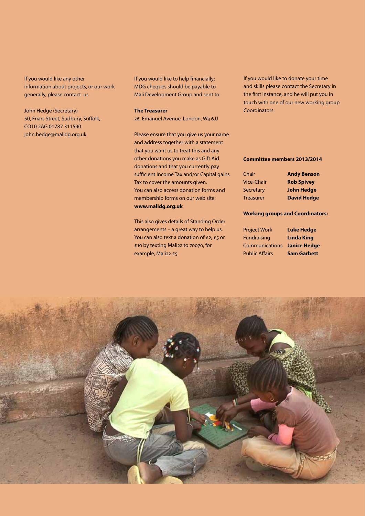If you would like any other information about projects, or our work generally, please contact us

John Hedge (Secretary) 50, Friars Street, Sudbury, Suffolk, CO10 2AG 01787 311590 john.hedge@malidg.org.uk

If you would like to help financially: MDG cheques should be payable to Mali Development Group and sent to:

**The Treasurer**

26, Emanuel Avenue, London, W3 6JJ

Please ensure that you give us your name and address together with a statement that you want us to treat this and any other donations you make as Gift Aid donations and that you currently pay sufficient Income Tax and/or Capital gains Tax to cover the amounts given. You can also access donation forms and membership forms on our web site: **www.malidg.org.uk**

This also gives details of Standing Order arrangements – a great way to help us. You can also text a donation of £2, £5 or £10 by texting Mali22 to 70070, for example, Mali22 £5.

If you would like to donate your time and skills please contact the Secretary in the first instance, and he will put you in touch with one of our new working group Coordinators.

#### **Committee members 2013/2014**

| Chair             | <b>Andy Benson</b> |
|-------------------|--------------------|
| <b>Vice-Chair</b> | <b>Rob Spivey</b>  |
| Secretary         | <b>John Hedge</b>  |
| <b>Treasurer</b>  | <b>David Hedge</b> |

#### **Working groups and Coordinators:**

| <b>Project Work</b>         | <b>Luke Hedge</b>  |
|-----------------------------|--------------------|
| <b>Fundraising</b>          | <b>Linda King</b>  |
| Communications Janice Hedge |                    |
| <b>Public Affairs</b>       | <b>Sam Garbett</b> |

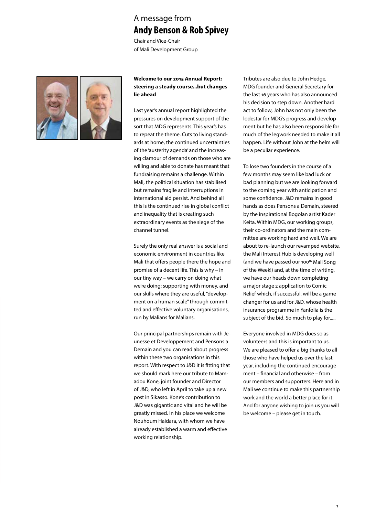### A message from **Andy Benson & Rob Spivey**

Chair and Vice-Chair of Mali Development Group



### **Welcome to our 2015 Annual Report: steering a steady course...but changes lie ahead**

Last year's annual report highlighted the pressures on development support of the sort that MDG represents. This year's has to repeat the theme. Cuts to living standards at home, the continued uncertainties of the 'austerity agenda' and the increasing clamour of demands on those who are willing and able to donate has meant that fundraising remains a challenge. Within Mali, the political situation has stabilised but remains fragile and interruptions in international aid persist. And behind all this is the continued rise in global conflict and inequality that is creating such extraordinary events as the siege of the channel tunnel.

Surely the only real answer is a social and economic environment in countries like Mali that offers people there the hope and promise of a decent life. This is why – in our tiny way – we carry on doing what we're doing: supporting with money, and our skills where they are useful, "development on a human scale" through committed and effective voluntary organisations, run by Malians for Malians.

Our principal partnerships remain with Jeunesse et Developpement and Pensons a Demain and you can read about progress within these two organisations in this report. With respect to J&D it is fitting that we should mark here our tribute to Mamadou Kone, joint founder and Director of J&D, who left in April to take up a new post in Sikasso. Kone's contribution to J&D was gigantic and vital and he will be greatly missed. In his place we welcome Nouhoum Haidara, with whom we have already established a warm and effective working relationship.

Tributes are also due to John Hedge, MDG founder and General Secretary for the last 16 years who has also announced his decision to step down. Another hard act to follow, John has not only been the lodestar for MDG's progress and development but he has also been responsible for much of the legwork needed to make it all happen. Life without John at the helm will be a peculiar experience.

To lose two founders in the course of a few months may seem like bad luck or bad planning but we are looking forward to the coming year with anticipation and some confidence. J&D remains in good hands as does Pensons a Demain, steered by the inspirational Bogolan artist Kader Keita. Within MDG, our working groups, their co-ordinators and the main committee are working hard and well. We are about to re-launch our revamped website, the Mali Interest Hub is developing well (and we have passed our 100<sup>th</sup> Mali Song of the Week!) and, at the time of writing, we have our heads down completing a major stage 2 application to Comic Relief which, if successful, will be a game changer for us and for J&D, whose health insurance programme in Yanfolia is the subject of the bid. So much to play for.....

Everyone involved in MDG does so as volunteers and this is important to us. We are pleased to offer a big thanks to all those who have helped us over the last year, including the continued encouragement – financial and otherwise – from our members and supporters. Here and in Mali we continue to make this partnership work and the world a better place for it. And for anyone wishing to join us you will be welcome – please get in touch.

1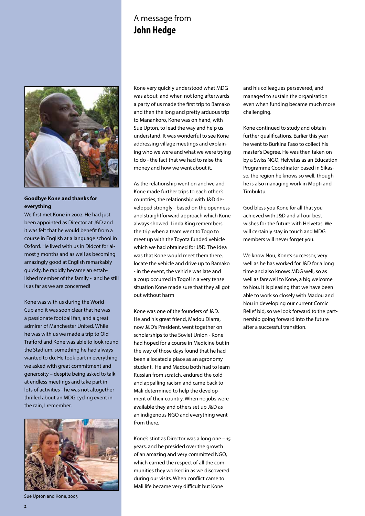### A message from **John Hedge**



### **Goodbye Kone and thanks for everything**

We first met Kone in 2002. He had just been appointed as Director at J&D and it was felt that he would benefit from a course in English at a language school in Oxford. He lived with us in Didcot for almost 3 months and as well as becoming amazingly good at English remarkably quickly, he rapidly became an established member of the family - and he still is as far as we are concerned!

Kone was with us during the World Cup and it was soon clear that he was a passionate football fan, and a great admirer of Manchester United. While he was with us we made a trip to Old Trafford and Kone was able to look round the Stadium, something he had always wanted to do. He took part in everything we asked with great commitment and generosity – despite being asked to talk at endless meetings and take part in lots of activities - he was not altogether thrilled about an MDG cycling event in the rain, I remember.



Sue Upton and Kone, 2003

Kone very quickly understood what MDG was about, and when not long afterwards a party of us made the first trip to Bamako and then the long and pretty arduous trip to Manankoro, Kone was on hand, with Sue Upton, to lead the way and help us understand. It was wonderful to see Kone addressing village meetings and explaining who we were and what we were trying to do - the fact that we had to raise the money and how we went about it.

As the relationship went on and we and Kone made further trips to each other's countries, the relationship with J&D developed strongly - based on the openness and straightforward approach which Kone always showed. Linda King remembers the trip when a team went to Togo to meet up with the Toyota funded vehicle which we had obtained for J&D. The idea was that Kone would meet them there, locate the vehicle and drive up to Bamako - in the event, the vehicle was late and a coup occurred in Togo! In a very tense situation Kone made sure that they all got out without harm

Kone was one of the founders of J&D. He and his great friend, Madou Diarra, now J&D's President, went together on scholarships to the Soviet Union - Kone had hoped for a course in Medicine but in the way of those days found that he had been allocated a place as an agronomy student. He and Madou both had to learn Russian from scratch, endured the cold and appalling racism and came back to Mali determined to help the development of their country. When no jobs were available they and others set up J&D as an indigenous NGO and everything went from there.

Kone's stint as Director was a long one – 15 years, and he presided over the growth of an amazing and very committed NGO, which earned the respect of all the communities they worked in as we discovered during our visits. When conflict came to Mali life became very difficult but Kone

and his colleagues persevered, and managed to sustain the organisation even when funding became much more challenging.

Kone continued to study and obtain further qualifications. Earlier this year he went to Burkina Faso to collect his master's Degree. He was then taken on by a Swiss NGO, Helvetas as an Education Programme Coordinator based in Sikasso, the region he knows so well, though he is also managing work in Mopti and Timbuktu.

God bless you Kone for all that you achieved with J&D and all our best wishes for the future with Helvetas. We will certainly stay in touch and MDG members will never forget you.

We know Nou, Kone's successor, very well as he has worked for J&D for a long time and also knows MDG well, so as well as farewell to Kone, a big welcome to Nou. It is pleasing that we have been able to work so closely with Madou and Nou in developing our current Comic Relief bid, so we look forward to the partnership going forward into the future after a successful transition.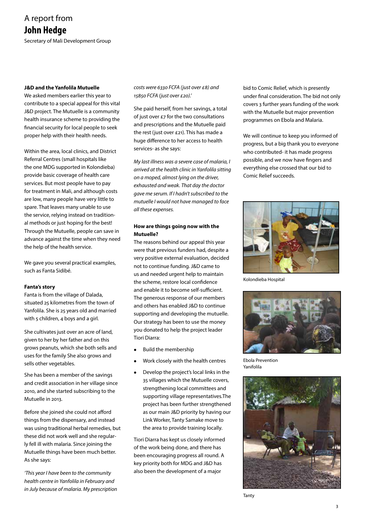### A report from **John Hedge** Secretary of Mali Development Group

#### **J&D and the Yanfolila Mutuelle**

We asked members earlier this year to contribute to a special appeal for this vital J&D project. The Mutuelle is a community health insurance scheme to providing the financial security for local people to seek proper help with their health needs.

Within the area, local clinics, and District Referral Centres (small hospitals like the one MDG supported in Kolondieba) provide basic coverage of health care services. But most people have to pay for treatment in Mali, and although costs are low, many people have very little to spare. That leaves many unable to use the service, relying instead on traditional methods or just hoping for the best! Through the Mutuelle, people can save in advance against the time when they need the help of the health service.

We gave you several practical examples, such as Fanta Sidibé.

#### **Fanta's story**

Fanta is from the village of Dalada, situated 25 kilometres from the town of Yanfolila. She is 25 years old and married with 5 children, 4 boys and a girl.

She cultivates just over an acre of land, given to her by her father and on this grows peanuts, which she both sells and uses for the family She also grows and sells other vegetables.

She has been a member of the savings and credit association in her village since 2010, and she started subscribing to the Mutuelle in 2013.

Before she joined she could not afford things from the dispensary, and instead was using traditional herbal remedies, but these did not work well and she regularly fell ill with malaria. Since joining the Mutuelle things have been much better. As she says:

*'This year I have been to the community health centre in Yanfolila in February and in July because of malaria. My prescription*  *costs were 6330 FCFA (just over £8) and 15850 FCFA (just over £20).'*

She paid herself, from her savings, a total of just over £7 for the two consultations and prescriptions and the Mutuelle paid the rest (just over £21). This has made a huge difference to her access to health services- as she says:

*My last illness was a severe case of malaria, I arrived at the health clinic in Yanfolila sitting on a moped, almost lying on the driver, exhausted and weak. That day the doctor gave me serum. If I hadn't subscribed to the mutuelle I would not have managed to face all these expenses.*

### **How are things going now with the Mutuelle?**

The reasons behind our appeal this year were that previous funders had, despite a very positive external evaluation, decided not to continue funding. J&D came to us and needed urgent help to maintain the scheme, restore local confidence and enable it to become self-sufficient. The generous response of our members and others has enabled J&D to continue supporting and developing the mutuelle. Our strategy has been to use the money you donated to help the project leader Tiori Diarra:

- $\bullet$  Build the membership
- <sup>l</sup>Work closely with the health centres
- Develop the project's local links in the 35 villages which the Mutuelle covers, strengthening local committees and supporting village representatives.The project has been further strengthened as our main J&D priority by having our Link Worker, Tanty Samake move to the area to provide training locally.

Tiori Diarra has kept us closely informed of the work being done, and there has been encouraging progress all round. A key priority both for MDG and J&D has also been the development of a major

bid to Comic Relief, which is presently under final consideration. The bid not only covers 3 further years funding of the work with the Mutuelle but major prevention programmes on Ebola and Malaria.

We will continue to keep you informed of progress, but a big thank you to everyone who contributed- it has made progress possible, and we now have fingers and everything else crossed that our bid to Comic Relief succeeds.



Kolondieba Hospital



Ebola Prevention Yanifolila



Tanty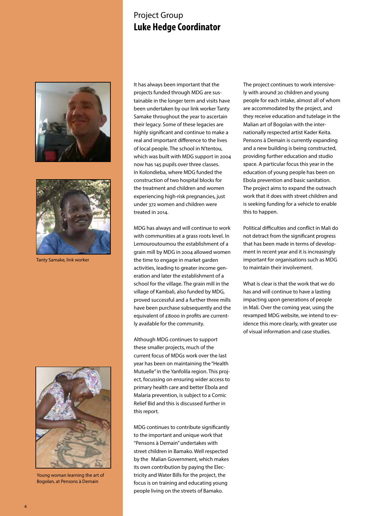### Project Group **Luke Hedge Coordinator**





Tanty Samake, link worker



Young woman learning the art of Bogolan, at Pensons à Demain

It has always been important that the projects funded through MDG are sustainable in the longer term and visits have been undertaken by our link worker Tanty Samake throughout the year to ascertain their legacy. Some of these legacies are highly significant and continue to make a real and important difference to the lives of local people. The school in N'tentou, which was built with MDG support in 2004 now has 145 pupils over three classes. In Kolondieba, where MDG funded the construction of two hospital blocks for the treatment and children and women experiencing high-risk pregnancies, just under 372 women and children were treated in 2014.

MDG has always and will continue to work with communities at a grass roots level. In Lemouroutoumou the establishment of a grain mill by MDG in 2004 allowed women the time to engage in market garden activities, leading to greater income generation and later the establishment of a school for the village. The grain mill in the village of Kambali, also funded by MDG, proved successful and a further three mills have been purchase subsequently and the equivalent of £8000 in profits are currently available for the community.

Although MDG continues to support these smaller projects, much of the current focus of MDGs work over the last year has been on maintaining the "Health Mutuelle" in the Yanfolila region. This project, focussing on ensuring wider access to primary health care and better Ebola and Malaria prevention, is subject to a Comic Relief Bid and this is discussed further in this report.

MDG continues to contribute significantly to the important and unique work that "Pensons à Demain" undertakes with street children in Bamako. Well respected by the Malian Government, which makes its own contribution by paying the Electricity and Water Bills for the project, the focus is on training and educating young people living on the streets of Bamako.

The project continues to work intensively with around 20 children and young people for each intake, almost all of whom are accommodated by the project, and they receive education and tutelage in the Malian art of Bogolan with the internationally respected artist Kader Keita. Pensons à Demain is currently expanding and a new building is being constructed, providing further education and studio space. A particular focus this year in the education of young people has been on Ebola prevention and basic sanitation. The project aims to expand the outreach work that it does with street children and is seeking funding for a vehicle to enable this to happen.

Political difficulties and conflict in Mali do not detract from the significant progress that has been made in terms of development in recent year and it is increasingly important for organisations such as MDG to maintain their involvement.

What is clear is that the work that we do has and will continue to have a lasting impacting upon generations of people in Mali. Over the coming year, using the revamped MDG website, we intend to evidence this more clearly, with greater use of visual information and case studies.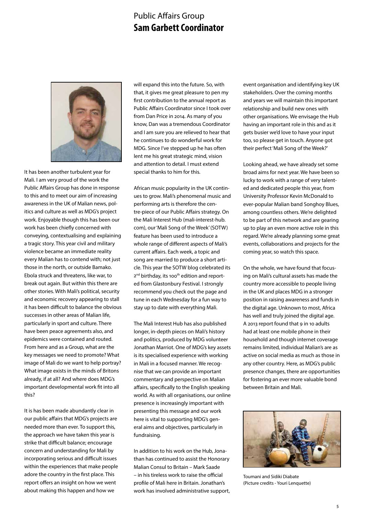### Public Affairs Group **Sam Garbett Coordinator**



It has been another turbulent year for Mali. I am very proud of the work the Public Affairs Group has done in response to this and to meet our aim of increasing awareness in the UK of Malian news, politics and culture as well as MDG's project work. Enjoyable though this has been our work has been chiefly concerned with conveying, contextualising and explaining a tragic story. This year civil and military violence became an immediate reality every Malian has to contend with; not just those in the north, or outside Bamako. Ebola struck and threatens, like war, to break out again. But within this there are other stories. With Mali's political, security and economic recovery appearing to stall it has been difficult to balance the obvious successes in other areas of Malian life, particularly in sport and culture. There have been peace agreements also, and epidemics were contained and routed. From here and as a Group, what are the key messages we need to promote? What image of Mali do we want to help portray? What image exists in the minds of Britons already, if at all? And where does MDG's important developmental work fit into all this?

It is has been made abundantly clear in our public affairs that MDG's projects are needed more than ever. To support this, the approach we have taken this year is strike that difficult balance; encourage concern and understanding for Mali by incorporating serious and difficult issues within the experiences that make people adore the country in the first place. This report offers an insight on how we went about making this happen and how we

will expand this into the future. So, with that, it gives me great pleasure to pen my first contribution to the annual report as Public Affairs Coordinator since I took over from Dan Price in 2014. As many of you know, Dan was a tremendous Coordinator and I am sure you are relieved to hear that he continues to do wonderful work for MDG. Since I've stepped up he has often lent me his great strategic mind, vision and attention to detail. I must extend special thanks to him for this.

African music popularity in the UK continues to grow. Mali's phenomenal music and performing arts is therefore the centre-piece of our Public Affairs strategy. On the Mali Interest Hub (mali-interest-hub. com), our 'Mali Song of the Week' (SOTW) feature has been used to introduce a whole range of different aspects of Mali's current affairs. Each week, a topic and song are married to produce a short article. This year the SOTW blog celebrated its 2<sup>nd</sup> birthday, its 100<sup>th</sup> edition and reported from Glastonbury Festival. I strongly recommend you check out the page and tune in each Wednesday for a fun way to stay up to date with everything Mali.

The Mali Interest Hub has also published longer, in-depth pieces on Mali's history and politics, produced by MDG volunteer Jonathan Marriot. One of MDG's key assets is its specialised experience with working in Mali in a focused manner. We recognise that we can provide an important commentary and perspective on Malian affairs, specifically to the English speaking world. As with all organisations, our online presence is increasingly important with presenting this message and our work here is vital to supporting MDG's general aims and objectives, particularly in fundraising.

In addition to his work on the Hub, Jonathan has continued to assist the Honorary Malian Consul to Britain – Mark Saade – in his tireless work to raise the official profile of Mali here in Britain. Jonathan's work has involved administrative support, event organisation and identifying key UK stakeholders. Over the coming months and years we will maintain this important relationship and build new ones with other organisations. We envisage the Hub having an important role in this and as it gets busier we'd love to have your input too, so please get in touch. Anyone got their perfect 'Mali Song of the Week?'

Looking ahead, we have already set some broad aims for next year. We have been so lucky to work with a range of very talented and dedicated people this year, from University Professor Kevin McDonald to ever-popular Malian band Songhoy Blues, among countless others. We're delighted to be part of this network and are gearing up to play an even more active role in this regard. We're already planning some great events, collaborations and projects for the coming year, so watch this space.

On the whole, we have found that focusing on Mali's cultural assets has made the country more accessible to people living in the UK and places MDG in a stronger position in raising awareness and funds in the digital age. Unknown to most, Africa has well and truly joined the digital age. A 2013 report found that 9 in 10 adults had at least one mobile phone in their household and though internet coverage remains limited, individual Malian's are as active on social media as much as those in any other country. Here, as MDG's public presence changes, there are opportunities for fostering an ever more valuable bond between Britain and Mali.



Toumani and Sidiki Diabate (Picture credits - Youri Lenquette)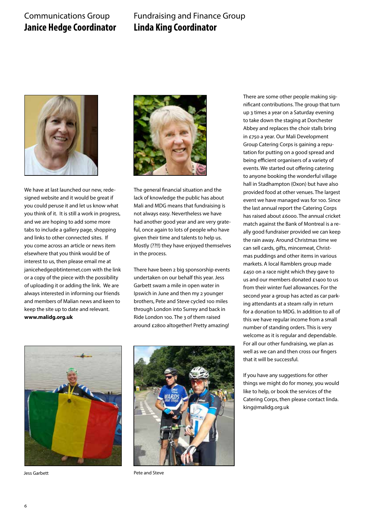### Communications Group **Janice Hedge Coordinator**

### Fundraising and Finance Group **Linda King Coordinator**



We have at last launched our new, redesigned website and it would be great if you could peruse it and let us know what you think of it. It is still a work in progress, and we are hoping to add some more tabs to include a gallery page, shopping and links to other connected sites. If you come across an article or news item elsewhere that you think would be of interest to us, then please email me at janicehedge@btinternet.com with the link or a copy of the piece with the possibility of uploading it or adding the link. We are always interested in informing our friends and members of Malian news and keen to keep the site up to date and relevant. **www.malidg.org.uk**



The general financial situation and the lack of knowledge the public has about Mali and MDG means that fundraising is not always easy. Nevertheless we have had another good year and are very grateful, once again to lots of people who have given their time and talents to help us. Mostly (??!!) they have enjoyed themselves in the process.

There have been 2 big sponsorship events undertaken on our behalf this year. Jess Garbett swam a mile in open water in Ipswich in June and then my 2 younger brothers, Pete and Steve cycled 100 miles through London into Surrey and back in Ride London 100. The 3 of them raised around £2800 altogether! Pretty amazing!

There are some other people making significant contributions. The group that turn up 3 times a year on a Saturday evening to take down the staging at Dorchester Abbey and replaces the choir stalls bring in £750 a year. Our Mali Development Group Catering Corps is gaining a reputation for putting on a good spread and being efficient organisers of a variety of events. We started out offering catering to anyone booking the wonderful village hall in Stadhampton (Oxon) but have also provided food at other venues. The largest event we have managed was for 100. Since the last annual report the Catering Corps has raised about £6000. The annual cricket match against the Bank of Montreal is a really good fundraiser provided we can keep the rain away. Around Christmas time we can sell cards, gifts, mincemeat, Christmas puddings and other items in various markets. A local Ramblers group made £450 on a race night which they gave to us and our members donated £1400 to us from their winter fuel allowances. For the second year a group has acted as car parking attendants at a steam rally in return for a donation to MDG. In addition to all of this we have regular income from a small number of standing orders. This is very welcome as it is regular and dependable. For all our other fundraising, we plan as well as we can and then cross our fingers that it will be successful.

If you have any suggestions for other things we might do for money, you would like to help, or book the services of the Catering Corps, then please contact linda. king@malidg.org.uk



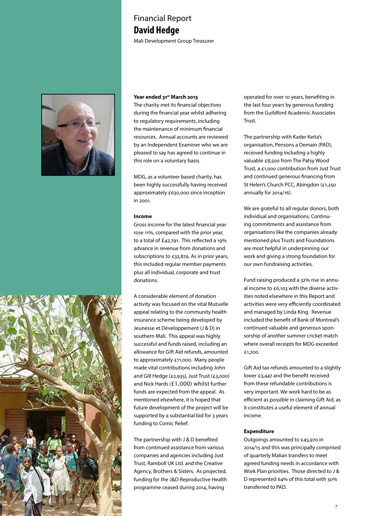### Financial Report **David Hedge**

Mali Development Group Treasurer



#### **Year ended 31st March 2015**

The charity met its financial objectives during the financial year whilst adhering to regulatory requirements, including the maintenance of minimum financial resources. Annual accounts are reviewed by an Independent Examiner who we are pleased to say has agreed to continue in this role on a voluntary basis.

MDG, as a volunteer based charity, has been highly successfully having received approximately £630,000 since inception in 2001.

#### **Income**

Gross income for the latest financial year rose 11%, compared with the prior year, to a total of £42,791. This reflected a 19% advance in revenue from donations and subscriptions to £32,879. As in prior years, this included regular member payments plus all individual, corporate and trust donations.

A considerable element of donation activity was focused on the vital Mutuelle appeal relating to the community health insurance scheme being developed by Jeunesse et Développement (J & D) in southern Mali. This appeal was highly successful and funds raised, including an allowance for Gift Aid refunds, amounted to approximately £11,000. Many people made vital contributions including John and Gill Hedge (£2,935), Just Trust (£3,000) and Nick Hards (£1,000) whilst further funds are expected from the appeal. As mentioned elsewhere, it is hoped that future development of the project will be supported by a substantial bid for 3 years funding to Comic Relief.

The partnership with J & D benefited from continued assistance from various companies and agencies including Just Trust, Ramboll UK Ltd. and the Creative Agency, Brothers & Sisters. As projected, funding for the J&D Reproductive Health programme ceased during 2014, having

operated for over 10 years, benefiting in the last four years by generous funding from the Guildford Academic Associates Trust.

The partnership with Kader Keita's organisation, Pensons a Demain (PAD), received funding including a highly valuable £8,500 from The Patsy Wood Trust, a £1,000 contribution from Just Trust and continued generous financing from St Helen's Church PCC, Abingdon (£1,250 annually for 2014/16).

We are grateful to all regular donors, both individual and organisations. Continuing commitments and assistance from organisations like the companies already mentioned plus Trusts and Foundations are most helpful in underpinning our work and giving a strong foundation for our own fundraising activities.

Fund raising produced a 32% rise in annual income to £6,103 with the diverse activities noted elsewhere in this Report and activities were very efficiently coordinated and managed by Linda King. Revenue included the benefit of Bank of Montreal's continued valuable and generous sponsorship of another summer cricket match where overall receipts for MDG exceeded £1,200.

Gift Aid tax refunds amounted to a slightly lower £3,447 and the benefit received from these refundable contributions is very important. We work hard to be as efficient as possible in claiming Gift Aid, as it constitutes a useful element of annual income.

#### **Expenditure**

Outgoings amounted to £45,970 in 2014/15 and this was principally comprised of quarterly Malian transfers to meet agreed funding needs in accordance with Work Plan priorities. Those directed to J & D represented 64% of this total with 30% transferred to PAD.

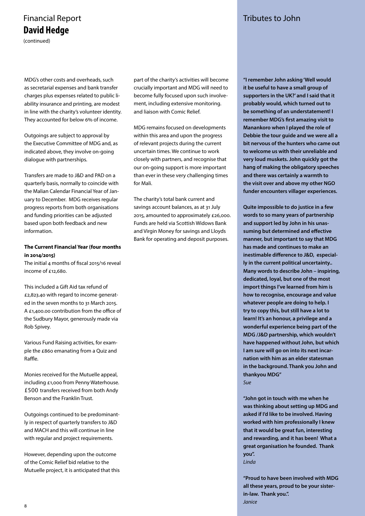## Financial Report **Tributes to John David Hedge**

(continued)

MDG's other costs and overheads, such as secretarial expenses and bank transfer charges plus expenses related to public liability insurance and printing, are modest in line with the charity's volunteer identity. They accounted for below 6% of income.

Outgoings are subject to approval by the Executive Committee of MDG and, as indicated above, they involve on-going dialogue with partnerships.

Transfers are made to J&D and PAD on a quarterly basis, normally to coincide with the Malian Calendar Financial Year of January to December. MDG receives regular progress reports from both organisations and funding priorities can be adjusted based upon both feedback and new information.

### **The Current Financial Year (four months in 2014/2015)**

The initial 4 months of fiscal 2015/16 reveal income of £12,680.

This included a Gift Aid tax refund of £2,823.40 with regard to income generated in the seven months to 31 March 2015. A £1,400.00 contribution from the office of the Sudbury Mayor, generously made via Rob Spivey.

Various Fund Raising activities, for example the £860 emanating from a Quiz and Raffle.

Monies received for the Mutuelle appeal, including £1,000 from Penny Waterhouse. £500 transfers received from both Andy Benson and the Franklin Trust.

Outgoings continued to be predominantly in respect of quarterly transfers to J&D and MACH and this will continue in line with regular and project requirements.

However, depending upon the outcome of the Comic Relief bid relative to the Mutuelle project, it is anticipated that this

part of the charity's activities will become crucially important and MDG will need to become fully focused upon such involvement, including extensive monitoring. and liaison with Comic Relief.

MDG remains focused on developments within this area and upon the progress of relevant projects during the current uncertain times. We continue to work closely with partners, and recognise that our on-going support is more important than ever in these very challenging times for Mali.

The charity's total bank current and savings account balances, as at 31 July 2015, amounted to approximately £26,000. Funds are held via Scottish Widows Bank and Virgin Money for savings and Lloyds Bank for operating and deposit purposes.

**"I remember John asking 'Well would it be useful to have a small group of supporters in the UK?' and I said that it probably would, which turned out to be something of an understatement! I remember MDG's first amazing visit to Manankoro when I played the role of Debbie the tour guide and we were all a bit nervous of the hunters who came out to welcome us with their unreliable and very loud muskets. John quickly got the hang of making the obligatory speeches and there was certainly a warmth to the visit over and above my other NGO funder encounters villager experiences.** 

**Quite impossible to do justice in a few words to so many years of partnership and support led by John in his unassuming but determined and effective manner, but important to say that MDG has made and continues to make an inestimable difference to J&D, especially in the current political uncertainty.. Many words to describe John – inspiring, dedicated, loyal, but one of the most import things I've learned from him is how to recognise, encourage and value whatever people are doing to help. I try to copy this, but still have a lot to learn! It's an honour, a privilege and a wonderful experience being part of the MDG /J&D partnership, which wouldn't have happened without John, but which I am sure will go on into its next incarnation with him as an elder statesman in the background. Thank you John and thankyou MDG"** *Sue*

**"John got in touch with me when he was thinking about setting up MDG and asked if I'd like to be involved. Having worked with him professionally I knew that it would be great fun, interesting and rewarding, and it has been! What a great organisation he founded. Thank you".**  *Linda*

**"Proud to have been involved with MDG all these years, proud to be your sisterin-law. Thank you.".**  *Janice*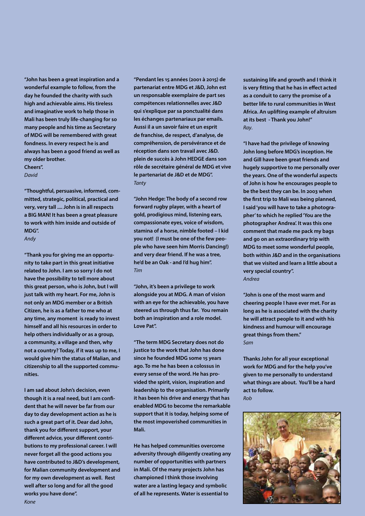**"John has been a great inspiration and a wonderful example to follow, from the day he founded the charity with such high and achievable aims. His tireless and imaginative work to help those in Mali has been truly life-changing for so many people and his time as Secretary of MDG will be remembered with great fondness. In every respect he is and always has been a good friend as well as my older brother. Cheers".**

*David*

**"Thoughtful, persuasive, informed, committed, strategic, political, practical and very, very tall .... John is in all respects a BIG MAN! It has been a great pleasure to work with him inside and outside of MDG".** 

#### *Andy*

**"Thank you for giving me an opportunity to take part in this great initiative related to John. I am so sorry I do not have the possibility to tell more about this great person, who is John, but I will just talk with my heart. For me, John is not only an MDG member or a British Citizen, he is as a father to me who at any time, any moment is ready to invest himself and all his resources in order to help others individually or as a group, a community, a village and then, why not a country? Today, if it was up to me, I would give him the status of Malian, and citizenship to all the supported communities.**

**I am sad about John's decision, even though it is a real need, but I am confident that he will never be far from our day to day development action as he is such a great part of it. Dear dad John, thank you for different support, your different advice, your different contributions to my professional career. I will never forget all the good actions you have contributed to J&D's development, for Malian community development and for my own development as well. Rest well after so long and for all the good works you have done".** 

**"Pendant les 15 années (2001 à 2015) de partenariat entre MDG et J&D, John est un responsable exemplaire de part ses compétences relationnelles avec J&D qui s'explique par sa ponctualité dans les échanges partenariaux par emails. Aussi il a un savoir faire et un esprit de franchise, de respect, d'analyse, de compréhension, de persévérance et de réception dans son travail avec J&D. plein de succès à John HEDGE dans son rôle de secrétaire général de MDG et vive le partenariat de J&D et de MDG".**  *Tanty*

**"John Hedge: The body of a second row forward rugby player, with a heart of gold, prodigious mind, listening ears, compassionate eyes, voice of wisdom, stamina of a horse, nimble footed – I kid you not! (I must be one of the few people who have seen him Morris Dancing!) and very dear friend. If he was a tree, he'd be an Oak - and I'd hug him".**  *Tim*

**"John, it's been a privilege to work alongside you at MDG. A man of vision with an eye for the achievable, you have steered us through thus far. You remain both an inspiration and a role model. Love Pat".**

**"The term MDG Secretary does not do justice to the work that John has done since he founded MDG some 15 years ago. To me he has been a colossus in every sense of the word. He has provided the spirit, vision, inspiration and leadership to the organisation. Primarily it has been his drive and energy that has enabled MDG to become the remarkable support that it is today, helping some of the most impoverished communities in Mali.**

**He has helped communities overcome adversity through diligently creating any number of opportunities with partners in Mali. Of the many projects John has championed I think those involving water are a lasting legacy and symbolic of all he represents. Water is essential to** 

**sustaining life and growth and I think it is very fitting that he has in effect acted as a conduit to carry the promise of a better life to rural communities in West Africa. An uplifting example of altruism at its best - Thank you John!"**  *Ray*.

**"I have had the privilege of knowing John long before MDG's inception. He and Gill have been great friends and hugely supportive to me personally over the years. One of the wonderful aspects of John is how he encourages people to be the best they can be. In 2003 when the first trip to Mali was being planned, I said 'you will have to take a photographer' to which he replied 'You are the photographer Andrea'. It was this one comment that made me pack my bags and go on an extraordinary trip with MDG to meet some wonderful people, both within J&D and in the organisations that we visited and learn a little about a very special country".** *Andrea*

**"John is one of the most warm and cheering people I have ever met. For as long as he is associated with the charity he will attract people to it and with his kindness and humour will encourage great things from them."**  *Sam*

**Thanks John for all your exceptional work for MDG and for the help you've given to me personally to understand what things are about. You'll be a hard act to follow.**